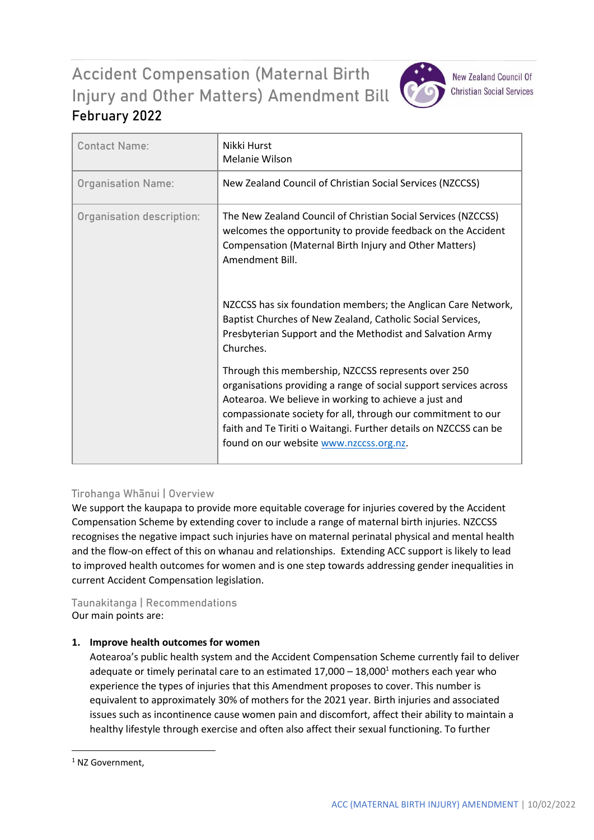# Accident Compensation (Maternal Birth Injury and Other Matters) Amendment Bill **February 2022**



**New Zealand Council Of Christian Social Services** 

| <b>Contact Name:</b>      | Nikki Hurst<br>Melanie Wilson                                                                                                                                                                                                                                                                                                                                    |
|---------------------------|------------------------------------------------------------------------------------------------------------------------------------------------------------------------------------------------------------------------------------------------------------------------------------------------------------------------------------------------------------------|
| <b>Organisation Name:</b> | New Zealand Council of Christian Social Services (NZCCSS)                                                                                                                                                                                                                                                                                                        |
| Organisation description: | The New Zealand Council of Christian Social Services (NZCCSS)<br>welcomes the opportunity to provide feedback on the Accident<br>Compensation (Maternal Birth Injury and Other Matters)<br>Amendment Bill.                                                                                                                                                       |
|                           | NZCCSS has six foundation members; the Anglican Care Network,<br>Baptist Churches of New Zealand, Catholic Social Services,<br>Presbyterian Support and the Methodist and Salvation Army<br>Churches.                                                                                                                                                            |
|                           | Through this membership, NZCCSS represents over 250<br>organisations providing a range of social support services across<br>Aotearoa. We believe in working to achieve a just and<br>compassionate society for all, through our commitment to our<br>faith and Te Tiriti o Waitangi. Further details on NZCCSS can be<br>found on our website www.nzccss.org.nz. |

## **Tirohanga Whānui | Overview**

We support the kaupapa to provide more equitable coverage for injuries covered by the Accident Compensation Scheme by extending cover to include a range of maternal birth injuries. NZCCSS recognises the negative impact such injuries have on maternal perinatal physical and mental health and the flow-on effect of this on whanau and relationships. Extending ACC support is likely to lead to improved health outcomes for women and is one step towards addressing gender inequalities in current Accident Compensation legislation.

### **Taunakitanga | Recommendations** Our main points are:

## **1. Improve health outcomes for women**

Aotearoa's public health system and the Accident Compensation Scheme currently fail to deliver adequate or timely perinatal care to an estimated  $17,000 - 18,000<sup>1</sup>$  mothers each year who experience the types of injuries that this Amendment proposes to cover. This number is equivalent to approximately 30% of mothers for the 2021 year. Birth injuries and associated issues such as incontinence cause women pain and discomfort, affect their ability to maintain a healthy lifestyle through exercise and often also affect their sexual functioning. To further

**.** 

<sup>&</sup>lt;sup>1</sup> NZ Government.